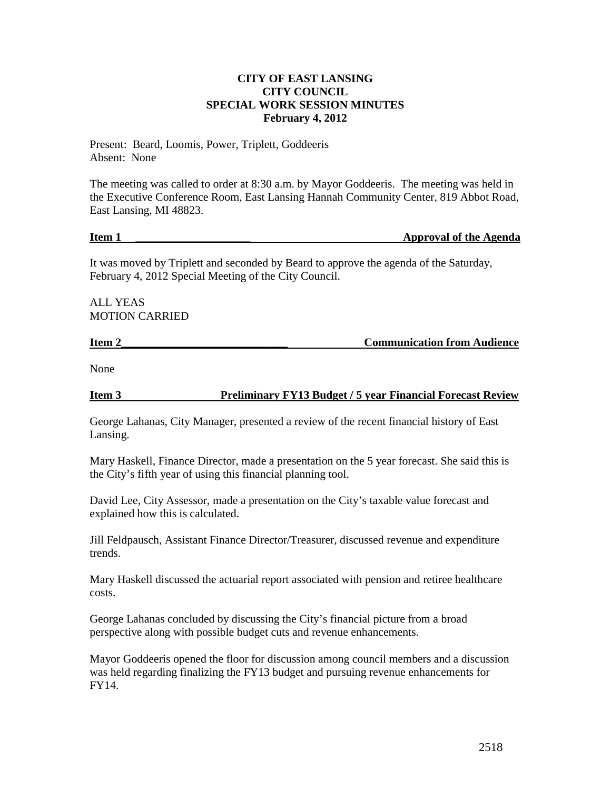## **CITY OF EAST LANSING CITY COUNCIL SPECIAL WORK SESSION MINUTES February 4, 2012**

Present: Beard, Loomis, Power, Triplett, Goddeeris Absent: None

The meeting was called to order at 8:30 a.m. by Mayor Goddeeris. The meeting was held in the Executive Conference Room, East Lansing Hannah Community Center, 819 Abbot Road, East Lansing, MI 48823.

### **Item 1 Example 2 Item 1 Constants 2 Constants 2 Constants 2 Approval of the Agenda**

It was moved by Triplett and seconded by Beard to approve the agenda of the Saturday, February 4, 2012 Special Meeting of the City Council.

ALL YEAS MOTION CARRIED

# **Item 2\_\_\_\_\_\_\_\_\_\_\_\_\_\_\_\_\_\_\_\_\_\_\_\_\_\_\_\_\_ Communication from Audience**

None

**Item 3 Preliminary FY13 Budget / 5 year Financial Forecast Review**

George Lahanas, City Manager, presented a review of the recent financial history of East Lansing.

Mary Haskell, Finance Director, made a presentation on the 5 year forecast. She said this is the City's fifth year of using this financial planning tool.

David Lee, City Assessor, made a presentation on the City's taxable value forecast and explained how this is calculated.

Jill Feldpausch, Assistant Finance Director/Treasurer, discussed revenue and expenditure trends.

Mary Haskell discussed the actuarial report associated with pension and retiree healthcare costs.

George Lahanas concluded by discussing the City's financial picture from a broad perspective along with possible budget cuts and revenue enhancements.

Mayor Goddeeris opened the floor for discussion among council members and a discussion was held regarding finalizing the FY13 budget and pursuing revenue enhancements for FY14.